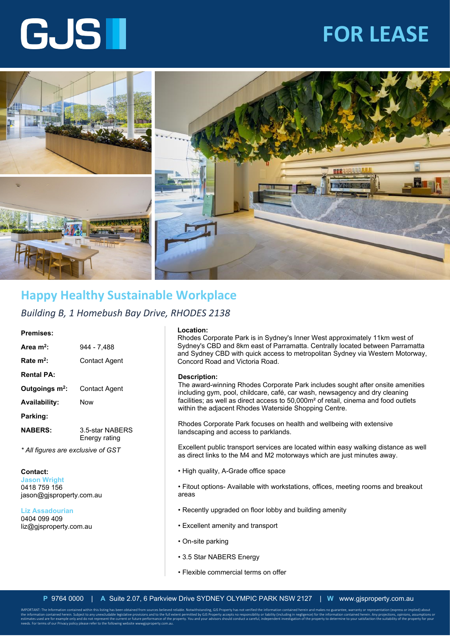## **FOR LEASE**

# GJSII



### **Happy Healthy Sustainable Workplace**

*Building B, 1 Homebush Bay Drive, RHODES 2138*

#### **Premises:**

| Area $m^2$ :               | 944 - 7.488                      |
|----------------------------|----------------------------------|
| Rate $m^2$ :               | Contact Agent                    |
| <b>Rental PA:</b>          |                                  |
| Outgoings m <sup>2</sup> : | Contact Agent                    |
| <b>Availability:</b>       | Now                              |
| Parking:                   |                                  |
| <b>NABERS:</b>             | 3.5-star NABERS<br>Energy rating |

*\* All figures are exclusive of GST*

#### **Contact: Jason Wright**  0418 759 156 jason@gjsproperty.com.au

**Liz Assadourian**  0404 099 409 liz@gjsproperty.com.au

#### **Location:**

Rhodes Corporate Park is in Sydney's Inner West approximately 11km west of Sydney's CBD and 8km east of Parramatta. Centrally located between Parramatta and Sydney CBD with quick access to metropolitan Sydney via Western Motorway, Concord Road and Victoria Road.

#### **Description:**

The award-winning Rhodes Corporate Park includes sought after onsite amenities including gym, pool, childcare, café, car wash, newsagency and dry cleaning facilities; as well as direct access to 50,000m² of retail, cinema and food outlets within the adjacent Rhodes Waterside Shopping Centre.

Rhodes Corporate Park focuses on health and wellbeing with extensive landscaping and access to parklands.

Excellent public transport services are located within easy walking distance as well as direct links to the M4 and M2 motorways which are just minutes away.

• High quality, A-Grade office space

• Fitout options- Available with workstations, offices, meeting rooms and breakout areas

- Recently upgraded on floor lobby and building amenity
- Excellent amenity and transport
- On-site parking
- 3.5 Star NABERS Energy
- Flexible commercial terms on offer

IMPORTANT: The Information contained within this listing has been obtained from sources believed reliable. Notwithstanding, GJS Property has not verified the information contained herein and makes no guarantee, warranty or the information contained herein. Subject to any unexcludable legislative provisions and to the full extent permitted by GJS Property accepts no responsibility or liability (including in negligence) for the information con estimates used are for example only and do not represent the current or future performance of the property. You and your advisors should conduct a careful, independent investigation of the property to determine to your sat needs. For terms of our Privacy policy please refer to the following website wwwgjsproperty.com.au.